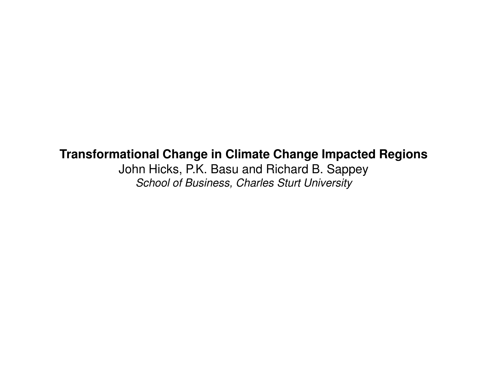## **Transformational Change in Climate Change Impacted Regions**

John Hicks, P.K. Basu and Richard B. SappeySchool of Business, Charles Sturt University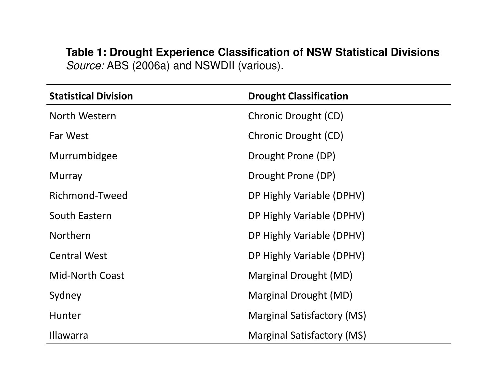## **Table 1: Drought Experience Classification of NSW Statistical Divisions***Source:* ABS (2006a) and NSWDII (various).

| <b>Statistical Division</b> | <b>Drought Classification</b>     |
|-----------------------------|-----------------------------------|
| North Western               | Chronic Drought (CD)              |
| Far West                    | Chronic Drought (CD)              |
| Murrumbidgee                | Drought Prone (DP)                |
| <b>Murray</b>               | Drought Prone (DP)                |
| Richmond-Tweed              | DP Highly Variable (DPHV)         |
| South Eastern               | DP Highly Variable (DPHV)         |
| <b>Northern</b>             | DP Highly Variable (DPHV)         |
| <b>Central West</b>         | DP Highly Variable (DPHV)         |
| <b>Mid-North Coast</b>      | Marginal Drought (MD)             |
| Sydney                      | Marginal Drought (MD)             |
| <b>Hunter</b>               | <b>Marginal Satisfactory (MS)</b> |
| <b>Illawarra</b>            | <b>Marginal Satisfactory (MS)</b> |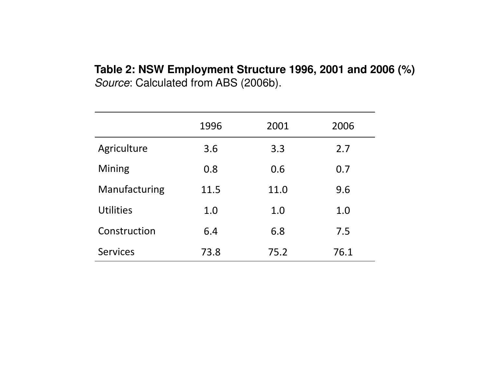#### **Table 2: NSW Employment Structure 1996, 2001 and 2006 (%)**Source: Calculated from ABS (2006b).

|                  | 1996 | 2001 | 2006 |
|------------------|------|------|------|
| Agriculture      | 3.6  | 3.3  | 2.7  |
| Mining           | 0.8  | 0.6  | 0.7  |
| Manufacturing    | 11.5 | 11.0 | 9.6  |
| <b>Utilities</b> | 1.0  | 1.0  | 1.0  |
| Construction     | 6.4  | 6.8  | 7.5  |
| <b>Services</b>  | 73.8 | 75.2 | 76.1 |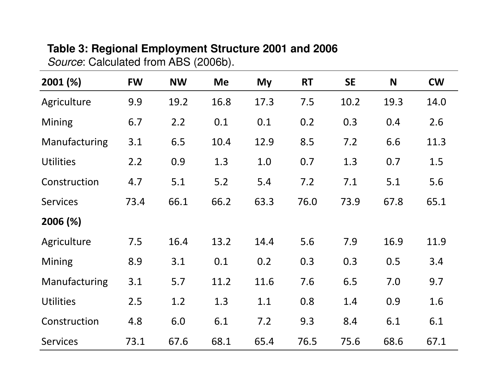# **Table 3: Regional Employment Structure 2001 and 2006**

Source: Calculated from ABS (2006b).

| $2001 (\%)$      | <b>FW</b> | <b>NW</b> | <b>Me</b> | My   | <b>RT</b> | <b>SE</b> | N    | <b>CW</b> |
|------------------|-----------|-----------|-----------|------|-----------|-----------|------|-----------|
| Agriculture      | 9.9       | 19.2      | 16.8      | 17.3 | 7.5       | 10.2      | 19.3 | 14.0      |
| <b>Mining</b>    | 6.7       | 2.2       | 0.1       | 0.1  | 0.2       | 0.3       | 0.4  | 2.6       |
| Manufacturing    | 3.1       | 6.5       | 10.4      | 12.9 | 8.5       | 7.2       | 6.6  | 11.3      |
| <b>Utilities</b> | 2.2       | 0.9       | 1.3       | 1.0  | 0.7       | 1.3       | 0.7  | 1.5       |
| Construction     | 4.7       | 5.1       | 5.2       | 5.4  | 7.2       | 7.1       | 5.1  | 5.6       |
| <b>Services</b>  | 73.4      | 66.1      | 66.2      | 63.3 | 76.0      | 73.9      | 67.8 | 65.1      |
| 2006 (%)         |           |           |           |      |           |           |      |           |
| Agriculture      | 7.5       | 16.4      | 13.2      | 14.4 | 5.6       | 7.9       | 16.9 | 11.9      |
| <b>Mining</b>    | 8.9       | 3.1       | 0.1       | 0.2  | 0.3       | 0.3       | 0.5  | 3.4       |
| Manufacturing    | 3.1       | 5.7       | 11.2      | 11.6 | 7.6       | 6.5       | 7.0  | 9.7       |
| <b>Utilities</b> | 2.5       | 1.2       | 1.3       | 1.1  | 0.8       | 1.4       | 0.9  | 1.6       |
| Construction     | 4.8       | 6.0       | 6.1       | 7.2  | 9.3       | 8.4       | 6.1  | 6.1       |
| <b>Services</b>  | 73.1      | 67.6      | 68.1      | 65.4 | 76.5      | 75.6      | 68.6 | 67.1      |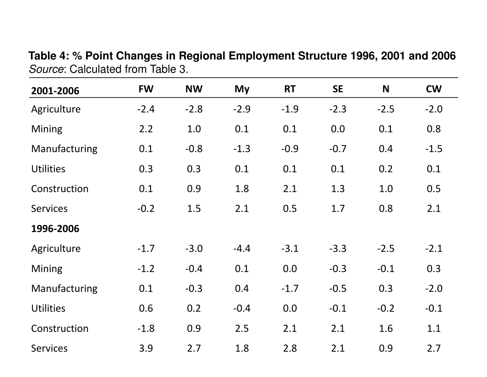Table 4: % Point Changes in Regional Employment Structure 1996, 2001 and 2006 Source: Calculated from Table 3.

| 2001-2006        | <b>FW</b> | <b>NW</b> | My     | <b>RT</b> | <b>SE</b> | N      | <b>CW</b> |
|------------------|-----------|-----------|--------|-----------|-----------|--------|-----------|
| Agriculture      | $-2.4$    | $-2.8$    | $-2.9$ | $-1.9$    | $-2.3$    | $-2.5$ | $-2.0$    |
| Mining           | 2.2       | 1.0       | 0.1    | 0.1       | 0.0       | 0.1    | 0.8       |
| Manufacturing    | 0.1       | $-0.8$    | $-1.3$ | $-0.9$    | $-0.7$    | 0.4    | $-1.5$    |
| <b>Utilities</b> | 0.3       | 0.3       | 0.1    | 0.1       | 0.1       | 0.2    | 0.1       |
| Construction     | 0.1       | 0.9       | 1.8    | 2.1       | 1.3       | 1.0    | 0.5       |
| <b>Services</b>  | $-0.2$    | 1.5       | 2.1    | 0.5       | 1.7       | 0.8    | 2.1       |
| 1996-2006        |           |           |        |           |           |        |           |
| Agriculture      | $-1.7$    | $-3.0$    | $-4.4$ | $-3.1$    | $-3.3$    | $-2.5$ | $-2.1$    |
| Mining           | $-1.2$    | $-0.4$    | 0.1    | 0.0       | $-0.3$    | $-0.1$ | 0.3       |
| Manufacturing    | 0.1       | $-0.3$    | 0.4    | $-1.7$    | $-0.5$    | 0.3    | $-2.0$    |
| <b>Utilities</b> | 0.6       | 0.2       | $-0.4$ | 0.0       | $-0.1$    | $-0.2$ | $-0.1$    |
| Construction     | $-1.8$    | 0.9       | 2.5    | 2.1       | 2.1       | 1.6    | 1.1       |
| <b>Services</b>  | 3.9       | 2.7       | 1.8    | 2.8       | 2.1       | 0.9    | 2.7       |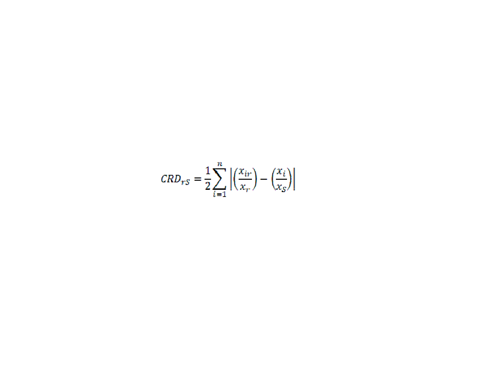$$
CRD_{rS} = \frac{1}{2} \sum_{i=1}^{n} \left| \left( \frac{x_{ir}}{x_r} \right) - \left( \frac{x_i}{x_S} \right) \right|
$$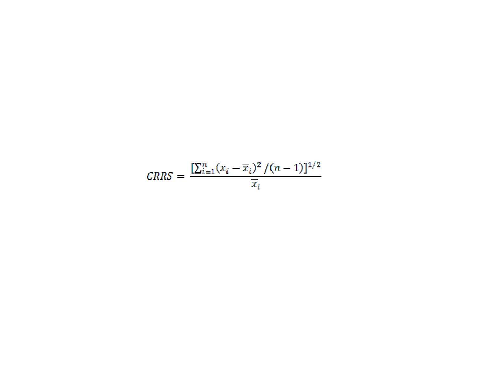$$
CRRS = \frac{\left[\sum_{i=1}^{n} (x_i - \overline{x}_i)^2 / (n-1)\right]^{1/2}}{\overline{x}_i}
$$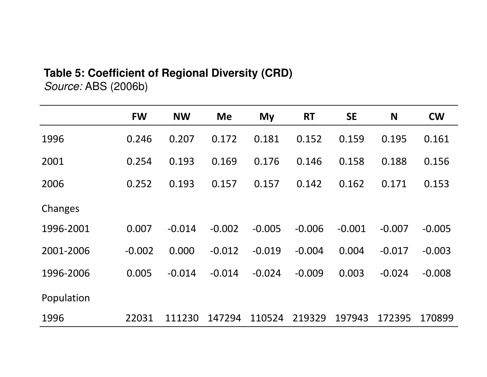## **Table 5: Coefficient of Regional Diversity (CRD)**

*Source:* ABS (2006b)

|            | <b>FW</b> | <b>NW</b> | <b>Me</b> | My       | <b>RT</b> | <b>SE</b> | N        | <b>CW</b> |
|------------|-----------|-----------|-----------|----------|-----------|-----------|----------|-----------|
| 1996       | 0.246     | 0.207     | 0.172     | 0.181    | 0.152     | 0.159     | 0.195    | 0.161     |
| 2001       | 0.254     | 0.193     | 0.169     | 0.176    | 0.146     | 0.158     | 0.188    | 0.156     |
| 2006       | 0.252     | 0.193     | 0.157     | 0.157    | 0.142     | 0.162     | 0.171    | 0.153     |
| Changes    |           |           |           |          |           |           |          |           |
| 1996-2001  | 0.007     | $-0.014$  | $-0.002$  | $-0.005$ | $-0.006$  | $-0.001$  | $-0.007$ | $-0.005$  |
| 2001-2006  | $-0.002$  | 0.000     | $-0.012$  | $-0.019$ | $-0.004$  | 0.004     | $-0.017$ | $-0.003$  |
| 1996-2006  | 0.005     | $-0.014$  | $-0.014$  | $-0.024$ | $-0.009$  | 0.003     | $-0.024$ | $-0.008$  |
| Population |           |           |           |          |           |           |          |           |
| 1996       | 22031     | 111230    | 147294    | 110524   | 219329    | 197943    | 172395   | 170899    |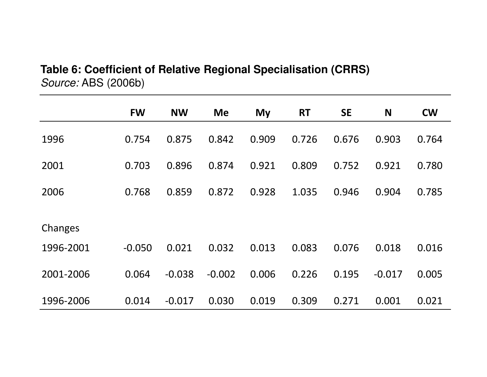## **Table 6: Coefficient of Relative Regional Specialisation (CRRS)**Source: ABS (2006b)

|           | <b>FW</b> | <b>NW</b> | <b>Me</b> | <b>My</b> | <b>RT</b> | <b>SE</b> | N        | <b>CW</b> |
|-----------|-----------|-----------|-----------|-----------|-----------|-----------|----------|-----------|
| 1996      | 0.754     | 0.875     | 0.842     | 0.909     | 0.726     | 0.676     | 0.903    | 0.764     |
| 2001      | 0.703     | 0.896     | 0.874     | 0.921     | 0.809     | 0.752     | 0.921    | 0.780     |
| 2006      | 0.768     | 0.859     | 0.872     | 0.928     | 1.035     | 0.946     | 0.904    | 0.785     |
|           |           |           |           |           |           |           |          |           |
| Changes   |           |           |           |           |           |           |          |           |
| 1996-2001 | $-0.050$  | 0.021     | 0.032     | 0.013     | 0.083     | 0.076     | 0.018    | 0.016     |
| 2001-2006 | 0.064     | $-0.038$  | $-0.002$  | 0.006     | 0.226     | 0.195     | $-0.017$ | 0.005     |
| 1996-2006 | 0.014     | $-0.017$  | 0.030     | 0.019     | 0.309     | 0.271     | 0.001    | 0.021     |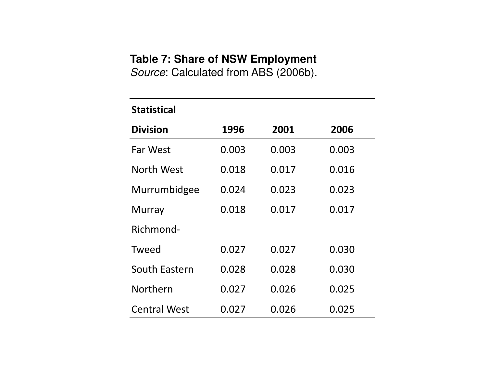## **Table 7: Share of NSW Employment**

Source: Calculated from ABS (2006b).

#### Statistical

| <b>Division</b>     | 1996  | 2001  | 2006  |
|---------------------|-------|-------|-------|
| <b>Far West</b>     | 0.003 | 0.003 | 0.003 |
| North West          | 0.018 | 0.017 | 0.016 |
| Murrumbidgee        | 0.024 | 0.023 | 0.023 |
| Murray              | 0.018 | 0.017 | 0.017 |
| Richmond-           |       |       |       |
| Tweed               | 0.027 | 0.027 | 0.030 |
| South Eastern       | 0.028 | 0.028 | 0.030 |
| Northern            | 0.027 | 0.026 | 0.025 |
| <b>Central West</b> | 0.027 | 0.026 | 0.025 |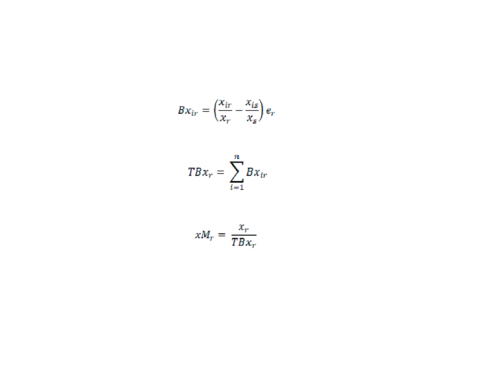$$
Bx_{ir} = \left(\frac{x_{ir}}{x_r} - \frac{x_{is}}{x_s}\right)e_r
$$

$$
TBx_r = \sum_{i=1}^n Bx_{ir}
$$

$$
xM_r = \frac{x_r}{TBx_r}
$$